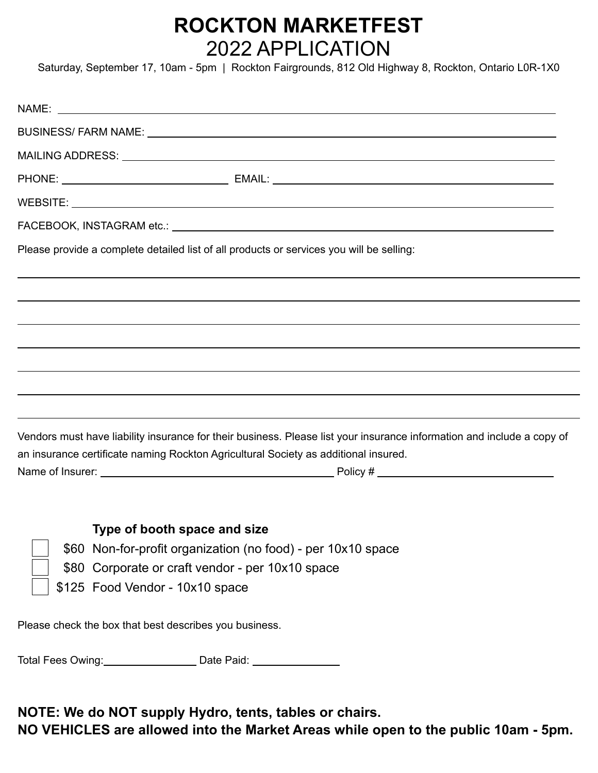## **ROCKTON MARKETFEST** 2022 APPLICATION

Saturday, September 17, 10am - 5pm | Rockton Fairgrounds, 812 Old Highway 8, Rockton, Ontario L0R-1X0

| Please provide a complete detailed list of all products or services you will be selling:                                                                                                                      |  |
|---------------------------------------------------------------------------------------------------------------------------------------------------------------------------------------------------------------|--|
|                                                                                                                                                                                                               |  |
|                                                                                                                                                                                                               |  |
|                                                                                                                                                                                                               |  |
|                                                                                                                                                                                                               |  |
|                                                                                                                                                                                                               |  |
|                                                                                                                                                                                                               |  |
| Vendors must have liability insurance for their business. Please list your insurance information and include a copy of<br>an insurance certificate naming Rockton Agricultural Society as additional insured. |  |
|                                                                                                                                                                                                               |  |
|                                                                                                                                                                                                               |  |
| Type of booth space and size                                                                                                                                                                                  |  |
| \$60 Non-for-profit organization (no food) - per 10x10 space                                                                                                                                                  |  |
| \$80 Corporate or craft vendor - per 10x10 space                                                                                                                                                              |  |
| \$125 Food Vendor - 10x10 space                                                                                                                                                                               |  |
| Please check the box that best describes you business.                                                                                                                                                        |  |

Total Fees Owing: Date Paid: Date Paid:

**NOTE: We do NOT supply Hydro, tents, tables or chairs.**

**NO VEHICLES are allowed into the Market Areas while open to the public 10am - 5pm.**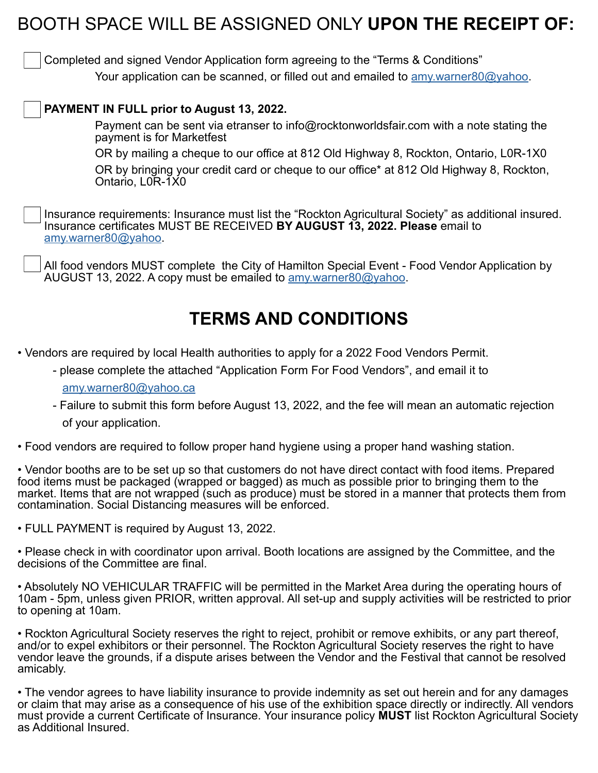## BOOTH SPACE WILL BE ASSIGNED ONLY **UPON THE RECEIPT OF:**

Completed and signed Vendor Application form agreeing to the "Terms & Conditions" Your application can be scanned, or filled out and emailed to amy warner80@yahoo.

## **PAYMENT IN FULL prior to August 13, 2022.**

Payment can be sent via etranser to info@rocktonworldsfair.com with a note stating the payment is for Marketfest

OR by mailing a cheque to our office at 812 Old Highway 8, Rockton, Ontario, L0R-1X0

OR by bringing your credit card or cheque to our office\* at 812 Old Highway 8, Rockton, Ontario, L0R-1X0

Insurance requirements: Insurance must list the "Rockton Agricultural Society" as additional insured. Insurance certificates MUST BE RECEIVED **BY AUGUST 13, 2022. Please** email to [amy.warner80@yahoo](mailto:amy.warner80%40yahoo?subject=).

All food vendors MUST complete the City of Hamilton Special Event - Food Vendor Application by AUGUST 13, 2022. A copy must be emailed to amy warner 80@yahoo.

## **TERMS AND CONDITIONS**

- Vendors are required by local Health authorities to apply for a 2022 Food Vendors Permit.
	- please complete the attached "Application Form For Food Vendors", and email it to [amy.warner80@yahoo.ca](mailto:amy.warner80%40yahoo.ca%20?subject=)
	- Failure to submit this form before August 13, 2022, and the fee will mean an automatic rejection of your application.
- Food vendors are required to follow proper hand hygiene using a proper hand washing station.

• Vendor booths are to be set up so that customers do not have direct contact with food items. Prepared food items must be packaged (wrapped or bagged) as much as possible prior to bringing them to the market. Items that are not wrapped (such as produce) must be stored in a manner that protects them from contamination. Social Distancing measures will be enforced.

• FULL PAYMENT is required by August 13, 2022.

• Please check in with coordinator upon arrival. Booth locations are assigned by the Committee, and the decisions of the Committee are final.

• Absolutely NO VEHICULAR TRAFFIC will be permitted in the Market Area during the operating hours of 10am - 5pm, unless given PRIOR, written approval. All set-up and supply activities will be restricted to prior to opening at 10am.

• Rockton Agricultural Society reserves the right to reject, prohibit or remove exhibits, or any part thereof, and/or to expel exhibitors or their personnel. The Rockton Agricultural Society reserves the right to have vendor leave the grounds, if a dispute arises between the Vendor and the Festival that cannot be resolved amicably.

• The vendor agrees to have liability insurance to provide indemnity as set out herein and for any damages or claim that may arise as a consequence of his use of the exhibition space directly or indirectly. All vendors must provide a current Certificate of Insurance. Your insurance policy **MUST** list Rockton Agricultural Society as Additional Insured.